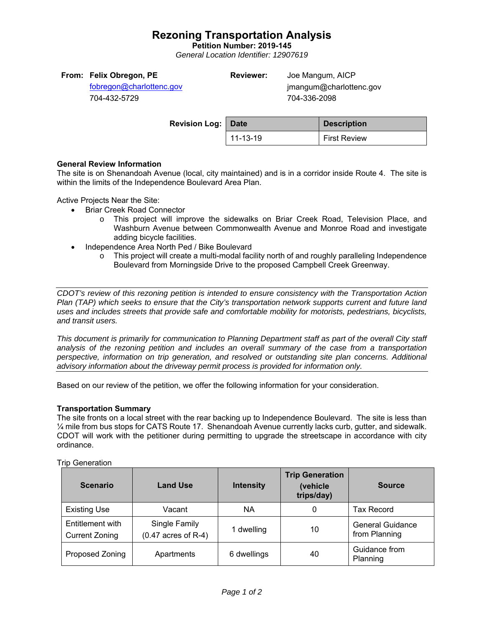## **Rezoning Transportation Analysis**

**Petition Number: 2019-145** 

*General Location Identifier: 12907619* 

| From: Felix Obregon, PE  | <b>Reviewer:</b> | Joe Mangum, AICP        |  |
|--------------------------|------------------|-------------------------|--|
| fobregon@charlottenc.gov |                  | jmangum@charlottenc.gov |  |
| 704-432-5729             |                  | 704-336-2098            |  |

| <b>Revision Log: Date</b> |          | <b>Description</b>  |  |
|---------------------------|----------|---------------------|--|
|                           | 11-13-19 | <b>First Review</b> |  |

## **General Review Information**

The site is on Shenandoah Avenue (local, city maintained) and is in a corridor inside Route 4. The site is within the limits of the Independence Boulevard Area Plan.

Active Projects Near the Site:

- Briar Creek Road Connector
	- o This project will improve the sidewalks on Briar Creek Road, Television Place, and Washburn Avenue between Commonwealth Avenue and Monroe Road and investigate adding bicycle facilities.
- Independence Area North Ped / Bike Boulevard
	- $\circ$  This project will create a multi-modal facility north of and roughly paralleling Independence Boulevard from Morningside Drive to the proposed Campbell Creek Greenway.

*CDOT's review of this rezoning petition is intended to ensure consistency with the Transportation Action Plan (TAP) which seeks to ensure that the City's transportation network supports current and future land uses and includes streets that provide safe and comfortable mobility for motorists, pedestrians, bicyclists, and transit users.* 

*This document is primarily for communication to Planning Department staff as part of the overall City staff analysis of the rezoning petition and includes an overall summary of the case from a transportation perspective, information on trip generation, and resolved or outstanding site plan concerns. Additional advisory information about the driveway permit process is provided for information only.* 

Based on our review of the petition, we offer the following information for your consideration.

## **Transportation Summary**

The site fronts on a local street with the rear backing up to Independence Boulevard. The site is less than ¼ mile from bus stops for CATS Route 17. Shenandoah Avenue currently lacks curb, gutter, and sidewalk. CDOT will work with the petitioner during permitting to upgrade the streetscape in accordance with city ordinance.

#### Trip Generation

| <b>Scenario</b>                           | <b>Land Use</b>                        | <b>Intensity</b> | <b>Trip Generation</b><br>(vehicle<br>trips/day) | <b>Source</b>                            |
|-------------------------------------------|----------------------------------------|------------------|--------------------------------------------------|------------------------------------------|
| <b>Existing Use</b>                       | Vacant                                 | <b>NA</b>        | 0                                                | <b>Tax Record</b>                        |
| Entitlement with<br><b>Current Zoning</b> | Single Family<br>$(0.47$ acres of R-4) | 1 dwelling       | 10                                               | <b>General Guidance</b><br>from Planning |
| Proposed Zoning                           | Apartments                             | 6 dwellings      | 40                                               | Guidance from<br>Planning                |